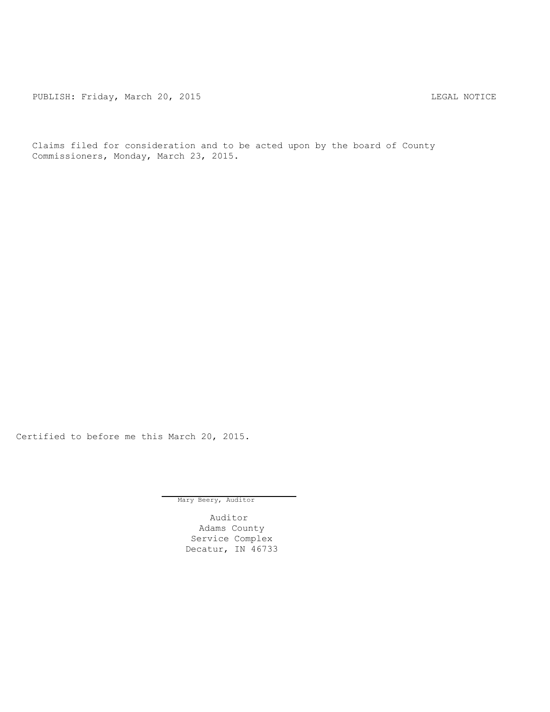PUBLISH: Friday, March 20, 2015 CHA CHANGE AND THE MOTICE

Claims filed for consideration and to be acted upon by the board of County Commissioners, Monday, March 23, 2015.

Certified to before me this March 20, 2015.

Mary Beery, Auditor

Auditor Adams County Service Complex Decatur, IN 46733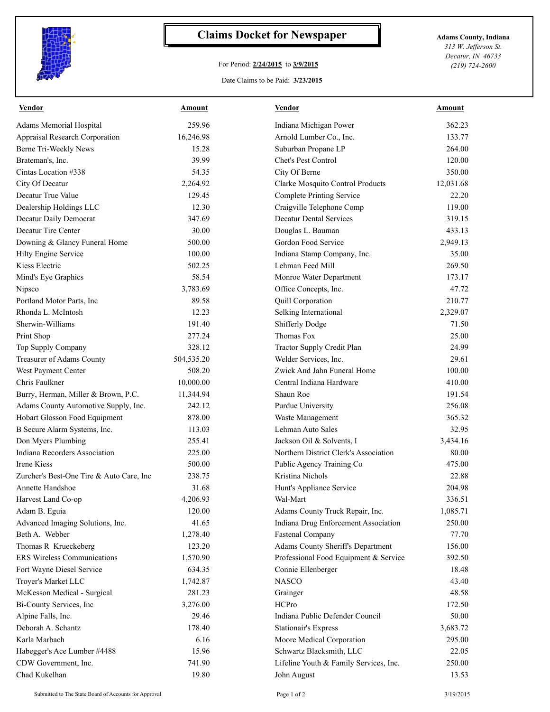

## **Claims Docket for Newspaper Adams County, Indiana**

## For Period: **2/24/2015** to **3/9/2015**

*313 W. Jefferson St. Decatur, IN 46733 (219) 724-2600*

## Date Claims to be Paid: **3/23/2015**

| <b>Vendor</b>                            | <u>Amount</u> | <b>Vendor</b>                          | <u>Amount</u> |
|------------------------------------------|---------------|----------------------------------------|---------------|
| Adams Memorial Hospital                  | 259.96        | Indiana Michigan Power                 | 362.23        |
| Appraisal Research Corporation           | 16,246.98     | Arnold Lumber Co., Inc.                | 133.77        |
| Berne Tri-Weekly News                    | 15.28         | Suburban Propane LP                    | 264.00        |
| Brateman's, Inc.                         | 39.99         | Chet's Pest Control                    | 120.00        |
| Cintas Location #338                     | 54.35         | City Of Berne                          | 350.00        |
| City Of Decatur                          | 2,264.92      | Clarke Mosquito Control Products       | 12,031.68     |
| Decatur True Value                       | 129.45        | <b>Complete Printing Service</b>       | 22.20         |
| Dealership Holdings LLC                  | 12.30         | Craigville Telephone Comp              | 119.00        |
| Decatur Daily Democrat                   | 347.69        | <b>Decatur Dental Services</b>         | 319.15        |
| Decatur Tire Center                      | 30.00         | Douglas L. Bauman                      | 433.13        |
| Downing & Glancy Funeral Home            | 500.00        | Gordon Food Service                    | 2,949.13      |
| Hilty Engine Service                     | 100.00        | Indiana Stamp Company, Inc.            | 35.00         |
| Kiess Electric                           | 502.25        | Lehman Feed Mill                       | 269.50        |
| Mind's Eye Graphics                      | 58.54         | Monroe Water Department                | 173.17        |
| Nipsco                                   | 3,783.69      | Office Concepts, Inc.                  | 47.72         |
| Portland Motor Parts, Inc                | 89.58         | Quill Corporation                      | 210.77        |
| Rhonda L. McIntosh                       | 12.23         | Selking International                  | 2,329.07      |
| Sherwin-Williams                         | 191.40        | Shifferly Dodge                        | 71.50         |
| Print Shop                               | 277.24        | Thomas Fox                             | 25.00         |
| Top Supply Company                       | 328.12        | Tractor Supply Credit Plan             | 24.99         |
| Treasurer of Adams County                | 504,535.20    | Welder Services, Inc.                  | 29.61         |
| West Payment Center                      | 508.20        | Zwick And Jahn Funeral Home            | 100.00        |
| Chris Faulkner                           | 10,000.00     | Central Indiana Hardware               | 410.00        |
| Burry, Herman, Miller & Brown, P.C.      | 11,344.94     | Shaun Roe                              | 191.54        |
| Adams County Automotive Supply, Inc.     | 242.12        | Purdue University                      | 256.08        |
| Hobart Glosson Food Equipment            | 878.00        | Waste Management                       | 365.32        |
| B Secure Alarm Systems, Inc.             | 113.03        | Lehman Auto Sales                      | 32.95         |
| Don Myers Plumbing                       | 255.41        | Jackson Oil & Solvents, I              | 3,434.16      |
| Indiana Recorders Association            | 225.00        | Northern District Clerk's Association  | 80.00         |
| Irene Kiess                              | 500.00        | Public Agency Training Co              | 475.00        |
| Zurcher's Best-One Tire & Auto Care, Inc | 238.75        | Kristina Nichols                       | 22.88         |
| Annette Handshoe                         | 31.68         | Hunt's Appliance Service               | 204.98        |
| Harvest Land Co-op                       | 4,206.93      | Wal-Mart                               | 336.51        |
| Adam B. Eguia                            | 120.00        | Adams County Truck Repair, Inc.        | 1,085.71      |
| Advanced Imaging Solutions, Inc.         | 41.65         | Indiana Drug Enforcement Association   | 250.00        |
| Beth A. Webber                           | 1,278.40      | Fastenal Company                       | 77.70         |
| Thomas R Krueckeberg                     | 123.20        | Adams County Sheriff's Department      | 156.00        |
| <b>ERS</b> Wireless Communications       | 1,570.90      | Professional Food Equipment & Service  | 392.50        |
| Fort Wayne Diesel Service                | 634.35        | Connie Ellenberger                     | 18.48         |
| Troyer's Market LLC                      | 1,742.87      | <b>NASCO</b>                           | 43.40         |
| McKesson Medical - Surgical              | 281.23        | Grainger                               | 48.58         |
| Bi-County Services, Inc                  | 3,276.00      | HCPro                                  | 172.50        |
| Alpine Falls, Inc.                       | 29.46         | Indiana Public Defender Council        | 50.00         |
| Deborah A. Schantz                       | 178.40        | <b>Stationair's Express</b>            | 3,683.72      |
| Karla Marbach                            | 6.16          | Moore Medical Corporation              | 295.00        |
| Habegger's Ace Lumber #4488              | 15.96         | Schwartz Blacksmith, LLC               | 22.05         |
| CDW Government, Inc.                     | 741.90        | Lifeline Youth & Family Services, Inc. | 250.00        |
| Chad Kukelhan                            |               |                                        |               |
|                                          | 19.80         | John August                            | 13.53         |